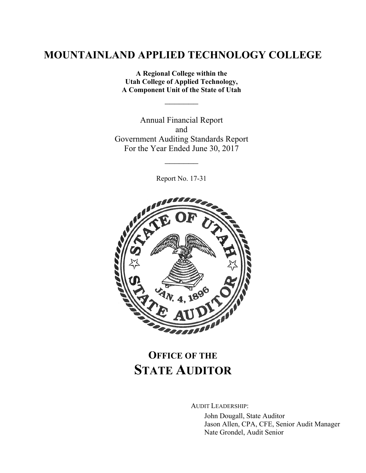**A Regional College within the Utah College of Applied Technology, A Component Unit of the State of Utah**  $\mathcal{L}_\text{max}$ 

Annual Financial Report and Government Auditing Standards Report For the Year Ended June 30, 2017

Report No. 17-31

 $\frac{1}{2}$ 



# **OFFICE OF THE STATE AUDITOR**

AUDIT LEADERSHIP:

John Dougall, State Auditor Jason Allen, CPA, CFE, Senior Audit Manager Nate Grondel, Audit Senior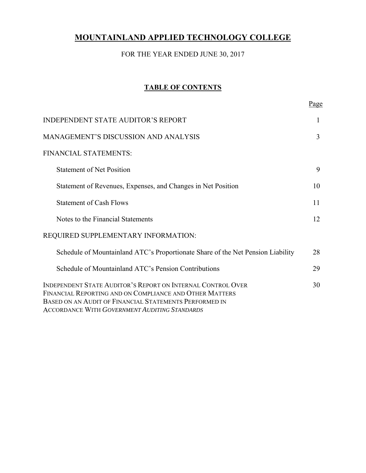### FOR THE YEAR ENDED JUNE 30, 2017

### **TABLE OF CONTENTS**

|                                                                                                                                                                                                                                   | Page |
|-----------------------------------------------------------------------------------------------------------------------------------------------------------------------------------------------------------------------------------|------|
| <b>INDEPENDENT STATE AUDITOR'S REPORT</b>                                                                                                                                                                                         | 1    |
| MANAGEMENT'S DISCUSSION AND ANALYSIS                                                                                                                                                                                              | 3    |
| FINANCIAL STATEMENTS:                                                                                                                                                                                                             |      |
| <b>Statement of Net Position</b>                                                                                                                                                                                                  | 9    |
| Statement of Revenues, Expenses, and Changes in Net Position                                                                                                                                                                      | 10   |
| <b>Statement of Cash Flows</b>                                                                                                                                                                                                    | 11   |
| Notes to the Financial Statements                                                                                                                                                                                                 | 12   |
| REQUIRED SUPPLEMENTARY INFORMATION:                                                                                                                                                                                               |      |
| Schedule of Mountainland ATC's Proportionate Share of the Net Pension Liability                                                                                                                                                   | 28   |
| Schedule of Mountainland ATC's Pension Contributions                                                                                                                                                                              | 29   |
| INDEPENDENT STATE AUDITOR'S REPORT ON INTERNAL CONTROL OVER<br>FINANCIAL REPORTING AND ON COMPLIANCE AND OTHER MATTERS<br>BASED ON AN AUDIT OF FINANCIAL STATEMENTS PERFORMED IN<br>ACCORDANCE WITH GOVERNMENT AUDITING STANDARDS | 30   |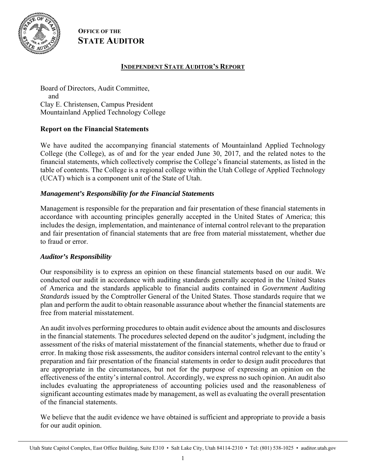

**OFFICE OF THE STATE AUDITOR**

### **INDEPENDENT STATE AUDITOR'S REPORT**

Board of Directors, Audit Committee, and Clay E. Christensen, Campus President Mountainland Applied Technology College

### **Report on the Financial Statements**

We have audited the accompanying financial statements of Mountainland Applied Technology College (the College), as of and for the year ended June 30, 2017, and the related notes to the financial statements, which collectively comprise the College's financial statements, as listed in the table of contents. The College is a regional college within the Utah College of Applied Technology (UCAT) which is a component unit of the State of Utah.

### *Management's Responsibility for the Financial Statements*

Management is responsible for the preparation and fair presentation of these financial statements in accordance with accounting principles generally accepted in the United States of America; this includes the design, implementation, and maintenance of internal control relevant to the preparation and fair presentation of financial statements that are free from material misstatement, whether due to fraud or error.

### *Auditor's Responsibility*

Our responsibility is to express an opinion on these financial statements based on our audit. We conducted our audit in accordance with auditing standards generally accepted in the United States of America and the standards applicable to financial audits contained in *Government Auditing Standards* issued by the Comptroller General of the United States. Those standards require that we plan and perform the audit to obtain reasonable assurance about whether the financial statements are free from material misstatement.

An audit involves performing procedures to obtain audit evidence about the amounts and disclosures in the financial statements. The procedures selected depend on the auditor's judgment, including the assessment of the risks of material misstatement of the financial statements, whether due to fraud or error. In making those risk assessments, the auditor considers internal control relevant to the entity's preparation and fair presentation of the financial statements in order to design audit procedures that are appropriate in the circumstances, but not for the purpose of expressing an opinion on the effectiveness of the entity's internal control. Accordingly, we express no such opinion. An audit also includes evaluating the appropriateness of accounting policies used and the reasonableness of significant accounting estimates made by management, as well as evaluating the overall presentation of the financial statements.

We believe that the audit evidence we have obtained is sufficient and appropriate to provide a basis for our audit opinion.

Utah State Capitol Complex, East Office Building, Suite E310 • Salt Lake City, Utah 84114-2310 • Tel: (801) 538-1025 • auditor.utah.gov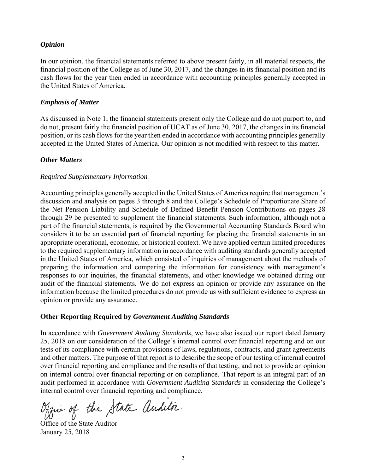### *Opinion*

In our opinion, the financial statements referred to above present fairly, in all material respects, the financial position of the College as of June 30, 2017, and the changes in its financial position and its cash flows for the year then ended in accordance with accounting principles generally accepted in the United States of America.

#### *Emphasis of Matter*

As discussed in Note 1, the financial statements present only the College and do not purport to, and do not, present fairly the financial position of UCAT as of June 30, 2017, the changes in its financial position, or its cash flows for the year then ended in accordance with accounting principles generally accepted in the United States of America. Our opinion is not modified with respect to this matter.

#### *Other Matters*

#### *Required Supplementary Information*

Accounting principles generally accepted in the United States of America require that management's discussion and analysis on pages 3 through 8 and the College's Schedule of Proportionate Share of the Net Pension Liability and Schedule of Defined Benefit Pension Contributions on pages 28 through 29 be presented to supplement the financial statements. Such information, although not a part of the financial statements, is required by the Governmental Accounting Standards Board who considers it to be an essential part of financial reporting for placing the financial statements in an appropriate operational, economic, or historical context. We have applied certain limited procedures to the required supplementary information in accordance with auditing standards generally accepted in the United States of America, which consisted of inquiries of management about the methods of preparing the information and comparing the information for consistency with management's responses to our inquiries, the financial statements, and other knowledge we obtained during our audit of the financial statements. We do not express an opinion or provide any assurance on the information because the limited procedures do not provide us with sufficient evidence to express an opinion or provide any assurance.

#### **Other Reporting Required by** *Government Auditing Standards*

In accordance with *Government Auditing Standards*, we have also issued our report dated January 25, 2018 on our consideration of the College's internal control over financial reporting and on our tests of its compliance with certain provisions of laws, regulations, contracts, and grant agreements and other matters. The purpose of that report is to describe the scope of our testing of internal control over financial reporting and compliance and the results of that testing, and not to provide an opinion on internal control over financial reporting or on compliance. That report is an integral part of an audit performed in accordance with *Government Auditing Standards* in considering the College's internal control over financial reporting and compliance.

Office of the State auditor

Office of the State Auditor January 25, 2018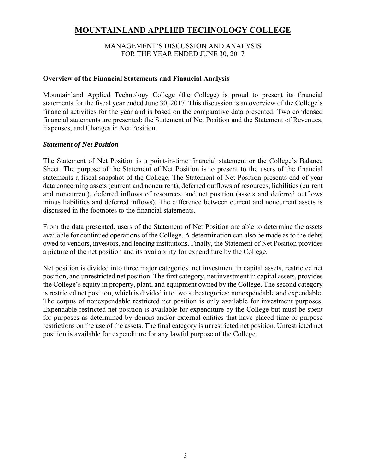### MANAGEMENT'S DISCUSSION AND ANALYSIS FOR THE YEAR ENDED JUNE 30, 2017

### **Overview of the Financial Statements and Financial Analysis**

Mountainland Applied Technology College (the College) is proud to present its financial statements for the fiscal year ended June 30, 2017. This discussion is an overview of the College's financial activities for the year and is based on the comparative data presented. Two condensed financial statements are presented: the Statement of Net Position and the Statement of Revenues, Expenses, and Changes in Net Position.

### *Statement of Net Position*

The Statement of Net Position is a point-in-time financial statement or the College's Balance Sheet. The purpose of the Statement of Net Position is to present to the users of the financial statements a fiscal snapshot of the College. The Statement of Net Position presents end-of-year data concerning assets (current and noncurrent), deferred outflows of resources, liabilities (current and noncurrent), deferred inflows of resources, and net position (assets and deferred outflows minus liabilities and deferred inflows). The difference between current and noncurrent assets is discussed in the footnotes to the financial statements.

From the data presented, users of the Statement of Net Position are able to determine the assets available for continued operations of the College. A determination can also be made as to the debts owed to vendors, investors, and lending institutions. Finally, the Statement of Net Position provides a picture of the net position and its availability for expenditure by the College.

Net position is divided into three major categories: net investment in capital assets, restricted net position, and unrestricted net position. The first category, net investment in capital assets, provides the College's equity in property, plant, and equipment owned by the College. The second category is restricted net position, which is divided into two subcategories: nonexpendable and expendable. The corpus of nonexpendable restricted net position is only available for investment purposes. Expendable restricted net position is available for expenditure by the College but must be spent for purposes as determined by donors and/or external entities that have placed time or purpose restrictions on the use of the assets. The final category is unrestricted net position. Unrestricted net position is available for expenditure for any lawful purpose of the College.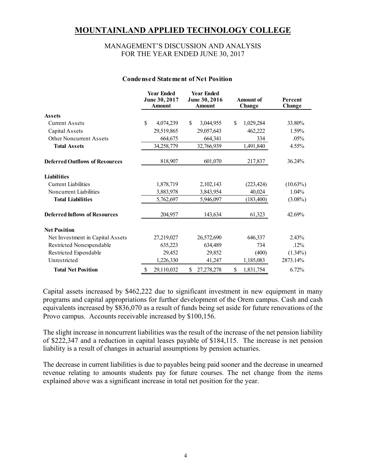### MANAGEMENT'S DISCUSSION AND ANALYSIS FOR THE YEAR ENDED JUNE 30, 2017

#### **Condensed Statement of Net Position**

|                                       | <b>Year Ended</b><br>June 30, 2017<br><b>Amount</b> | <b>Year Ended</b><br>June 30, 2016<br><b>Amount</b> | <b>Amount of</b><br>Change | Percent<br>Change |
|---------------------------------------|-----------------------------------------------------|-----------------------------------------------------|----------------------------|-------------------|
| <b>Assets</b>                         |                                                     |                                                     |                            |                   |
| <b>Current Assets</b>                 | \$<br>4,074,239                                     | \$<br>3,044,955                                     | \$<br>1,029,284            | 33.80%            |
| Capital Assets                        | 29,519,865                                          | 29,057,643                                          | 462,222                    | 1.59%             |
| Other Noncurrent Assets               | 664,675                                             | 664,341                                             | 334                        | .05%              |
| <b>Total Assets</b>                   | 34,258,779                                          | 32,766,939                                          | 1,491,840                  | 4.55%             |
| <b>Deferred Outflows of Resources</b> | 818,907                                             | 601,070                                             | 217,837                    | 36.24%            |
| <b>Liabilities</b>                    |                                                     |                                                     |                            |                   |
| <b>Current Liabilities</b>            | 1,878,719                                           | 2,102,143                                           | (223, 424)                 | $(10.63\%)$       |
| Noncurrent Liabilities                | 3,883,978                                           | 3,843,954                                           | 40,024                     | 1.04%             |
| <b>Total Liabilities</b>              | 5,762,697                                           | 5,946,097                                           | (183, 400)                 | $(3.08\%)$        |
| <b>Deferred Inflows of Resources</b>  | 204,957                                             | 143,634                                             | 61,323                     | 42.69%            |
| <b>Net Position</b>                   |                                                     |                                                     |                            |                   |
| Net Investment in Capital Assets      | 27,219,027                                          | 26,572,690                                          | 646,337                    | 2.43%             |
| Restricted Nonexpendable              | 635,223                                             | 634,489                                             | 734                        | .12%              |
| Restricted Expendable                 | 29,452                                              | 29,852                                              | (400)                      | $(1.34\%)$        |
| Unrestricted                          | 1,226,330                                           | 41,247                                              | 1,185,083                  | 2873.14%          |
| <b>Total Net Position</b>             | \$<br>29,110,032                                    | \$<br>27,278,278                                    | \$<br>1,831,754            | 6.72%             |

Capital assets increased by \$462,222 due to significant investment in new equipment in many programs and capital appropriations for further development of the Orem campus. Cash and cash equivalents increased by \$836,070 as a result of funds being set aside for future renovations of the Provo campus. Accounts receivable increased by \$100,156.

The slight increase in noncurrent liabilities was the result of the increase of the net pension liability of \$222,347 and a reduction in capital leases payable of \$184,115. The increase is net pension liability is a result of changes in actuarial assumptions by pension actuaries.

The decrease in current liabilities is due to payables being paid sooner and the decrease in unearned revenue relating to amounts students pay for future courses. The net change from the items explained above was a significant increase in total net position for the year.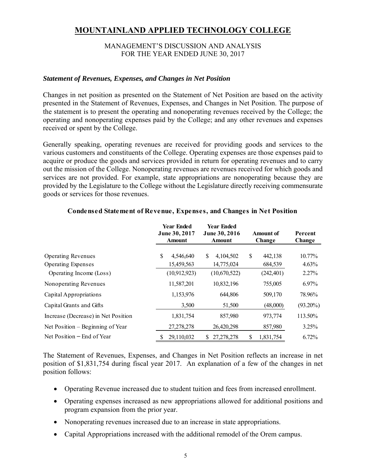### MANAGEMENT'S DISCUSSION AND ANALYSIS FOR THE YEAR ENDED JUNE 30, 2017

### *Statement of Revenues, Expenses, and Changes in Net Position*

Changes in net position as presented on the Statement of Net Position are based on the activity presented in the Statement of Revenues, Expenses, and Changes in Net Position. The purpose of the statement is to present the operating and nonoperating revenues received by the College; the operating and nonoperating expenses paid by the College; and any other revenues and expenses received or spent by the College.

Generally speaking, operating revenues are received for providing goods and services to the various customers and constituents of the College. Operating expenses are those expenses paid to acquire or produce the goods and services provided in return for operating revenues and to carry out the mission of the College. Nonoperating revenues are revenues received for which goods and services are not provided. For example, state appropriations are nonoperating because they are provided by the Legislature to the College without the Legislature directly receiving commensurate goods or services for those revenues.

|                                     | <b>Year Ended</b><br><b>Year Ended</b><br>June 30, 2017<br>June 30, 2016<br><b>Amount</b><br><b>Amount</b> |                  | <b>Amount of</b><br>Change | Percent<br>Change |
|-------------------------------------|------------------------------------------------------------------------------------------------------------|------------------|----------------------------|-------------------|
| <b>Operating Revenues</b>           | \$<br>4,546,640                                                                                            | S.<br>4,104,502  | \$<br>442,138              | 10.77%            |
| <b>Operating Expenses</b>           | 15,459,563                                                                                                 | 14,775,024       | 684,539                    | 4.63%             |
| Operating Income (Loss)             | (10,912,923)                                                                                               | (10,670,522)     | (242, 401)                 | 2.27%             |
| Nonoperating Revenues               | 11,587,201                                                                                                 | 10,832,196       | 755,005                    | 6.97%             |
| Capital Appropriations              | 1,153,976                                                                                                  | 644,806          | 509,170                    | 78.96%            |
| Capital Grants and Gifts            | 3,500                                                                                                      | 51,500           | (48,000)                   | $(93.20\%)$       |
| Increase (Decrease) in Net Position | 1,831,754                                                                                                  | 857,980          | 973,774                    | 113.50%           |
| Net Position – Beginning of Year    | 27,278,278                                                                                                 | 26,420,298       | 857,980                    | 3.25%             |
| Net Position $-$ End of Year        | 29,110,032                                                                                                 | 27,278,278<br>S. | 1,831,754<br>S             | 6.72%             |

### **Condensed Statement of Revenue, Expenses, and Changes in Net Position**

The Statement of Revenues, Expenses, and Changes in Net Position reflects an increase in net position of \$1,831,754 during fiscal year 2017. An explanation of a few of the changes in net position follows:

- Operating Revenue increased due to student tuition and fees from increased enrollment.
- Operating expenses increased as new appropriations allowed for additional positions and program expansion from the prior year.
- Nonoperating revenues increased due to an increase in state appropriations.
- Capital Appropriations increased with the additional remodel of the Orem campus.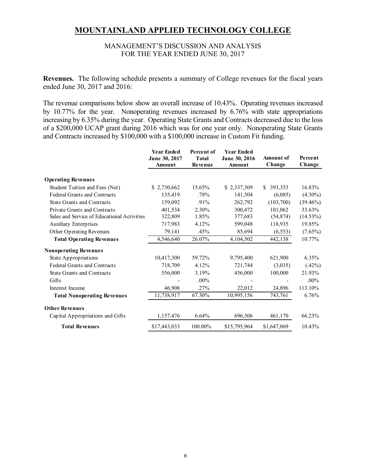### MANAGEMENT'S DISCUSSION AND ANALYSIS FOR THE YEAR ENDED JUNE 30, 2017

**Revenues.** The following schedule presents a summary of College revenues for the fiscal years ended June 30, 2017 and 2016:

The revenue comparisons below show an overall increase of 10.43%. Operating revenues increased by 10.77% for the year. Nonoperating revenues increased by 6.76% with state appropriations increasing by 6.35% during the year. Operating State Grants and Contracts decreased due to the loss of a \$200,000 UCAP grant during 2016 which was for one year only. Nonoperating State Grants and Contracts increased by \$100,000 with a \$100,000 increase in Custom Fit funding.

|                                             | <b>Year Ended</b><br>June 30, 2017<br>Amount | Percent of<br><b>Total</b><br>Revenue | <b>Year Ended</b><br>June 30, 2016<br><b>Amount</b> | <b>Amount of</b><br>Change | Percent<br>Change |
|---------------------------------------------|----------------------------------------------|---------------------------------------|-----------------------------------------------------|----------------------------|-------------------|
| <b>Operating Revenues</b>                   |                                              |                                       |                                                     |                            |                   |
| Student Tuition and Fees (Net)              | \$2,730,662                                  | 15.65%                                | \$2,337,309                                         | 393,353<br>\$              | 16.83%            |
| <b>Federal Grants and Contracts</b>         | 135,419                                      | .78%                                  | 141,504                                             | (6,085)                    | $(4.30\%)$        |
| <b>State Grants and Contracts</b>           | 159,092                                      | .91%                                  | 262,792                                             | (103,700)                  | $(39.46\%)$       |
| Private Grants and Contracts                | 401,534                                      | 2.30%                                 | 300,472                                             | 101,062                    | 33.63%            |
| Sales and Service of Educational Activities | 322,809                                      | 1.85%                                 | 377,683                                             | (54, 874)                  | (14.53%)          |
| Auxiliary Enterprises                       | 717,983                                      | 4.12%                                 | 599,048                                             | 118,935                    | 19.85%            |
| Other Operating Revenues                    | 79,141                                       | $.45\%$                               | 85,694                                              | (6, 553)                   | $(7.65\%)$        |
| <b>Total Operating Revenues</b>             | 4,546,640                                    | 26.07%                                | 4,104,502                                           | 442,138                    | 10.77%            |
| <b>Nonoperating Revenues</b>                |                                              |                                       |                                                     |                            |                   |
| State Appropriations                        | 10,417,300                                   | 59.72%                                | 9,795,400                                           | 621,900                    | $6.35\%$          |
| Federal Grants and Contracts                | 718,709                                      | 4.12%                                 | 721,744                                             | (3,035)                    | (.42%)            |
| <b>State Grants and Contracts</b>           | 556,000                                      | 3.19%                                 | 456,000                                             | 100,000                    | 21.93%            |
| Gifts                                       |                                              | $.00\%$                               |                                                     |                            | $.00\%$           |
| Interest Income                             | 46,908                                       | .27%                                  | 22,012                                              | 24,896                     | 113.10%           |
| <b>Total Nonoperating Revenues</b>          | 11,738,917                                   | 67.30%                                | 10,995,156                                          | 743,761                    | 6.76%             |
| <b>Other Revenues</b>                       |                                              |                                       |                                                     |                            |                   |
| Capital Appropriations and Gifts            | 1,157,476                                    | 6.64%                                 | 696,306                                             | 461,170                    | 66.23%            |
| <b>Total Revenues</b>                       | \$17,443,033                                 | 100.00%                               | \$15,795,964                                        | \$1,647,069                | 10.43%            |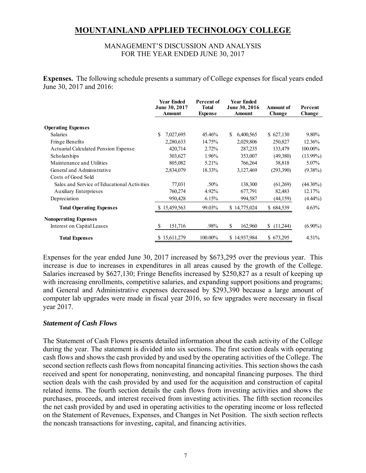### MANAGEMENT'S DISCUSSION AND ANALYSIS FOR THE YEAR ENDED JUNE 30, 2017

**Expenses.** The following schedule presents a summary of College expenses for fiscal years ended June 30, 2017 and 2016:

|                                             | <b>Year Ended</b><br>June 30, 2017<br><b>Amount</b> | Percent of<br><b>Total</b><br><b>Expense</b> | Year Ended<br>June 30, 2016<br><b>Amount</b> | <b>Amount of</b><br>Change | Percent<br>Change |
|---------------------------------------------|-----------------------------------------------------|----------------------------------------------|----------------------------------------------|----------------------------|-------------------|
| <b>Operating Expenses</b>                   |                                                     |                                              |                                              |                            |                   |
| <b>Salaries</b>                             | S.<br>7,027,695                                     | 45.46%                                       | \$.<br>6,400,565                             | \$627,130                  | 9.80%             |
| Fringe Benefits                             | 2,280,633                                           | 14.75%                                       | 2,029,806                                    | 250,827                    | 12.36%            |
| Actuarial Calculated Pension Expense        | 420,714                                             | 2.72%                                        | 287,235                                      | 133,479                    | 100.00%           |
| Scholarships                                | 303,627                                             | 1.96%                                        | 353,007                                      | (49,380)                   | $(13.99\%)$       |
| Maintenance and Utilities                   | 805,082                                             | 5.21%                                        | 766,264                                      | 38,818                     | 5.07%             |
| General and Administrative                  | 2,834,079                                           | 18.33%                                       | 3,127,469                                    | (293,390)                  | $(9.38\%)$        |
| Costs of Good Sold                          |                                                     |                                              |                                              |                            |                   |
| Sales and Service of Educational Activities | 77,031                                              | $.50\%$                                      | 138,300                                      | (61,269)                   | $(44.30\%)$       |
| <b>Auxiliary Enterprieses</b>               | 760,274                                             | 4.92%                                        | 677,791                                      | 82,483                     | 12.17%            |
| Depreciation                                | 950,428                                             | 6.15%                                        | 994,587                                      | (44, 159)                  | $(4.44\%)$        |
| <b>Total Operating Expenses</b>             | \$15,459,563                                        | 99.03%                                       | \$14,775,024                                 | \$684,539                  | $4.63\%$          |
| <b>Nonoperating Expenses</b>                |                                                     |                                              |                                              |                            |                   |
| Interest on Capital Leases                  | 151,716<br>-S                                       | .98%                                         | \$<br>162,960                                | (11,244)<br>\$             | $(6.90\%)$        |
| <b>Total Expenses</b>                       | 15,611,279                                          | 100.00%                                      | \$14,937,984                                 | \$673,295                  | 4.51%             |

Expenses for the year ended June 30, 2017 increased by \$673,295 over the previous year. This increase is due to increases in expenditures in all areas caused by the growth of the College. Salaries increased by \$627,130; Fringe Benefits increased by \$250,827 as a result of keeping up with increasing enrollments, competitive salaries, and expanding support positions and programs; and General and Administrative expenses decreased by \$293,390 because a large amount of computer lab upgrades were made in fiscal year 2016, so few upgrades were necessary in fiscal year 2017.

### *Statement of Cash Flows*

The Statement of Cash Flows presents detailed information about the cash activity of the College during the year. The statement is divided into six sections. The first section deals with operating cash flows and shows the cash provided by and used by the operating activities of the College. The second section reflects cash flows from noncapital financing activities. This section shows the cash received and spent for nonoperating, noninvesting, and noncapital financing purposes. The third section deals with the cash provided by and used for the acquisition and construction of capital related items. The fourth section details the cash flows from investing activities and shows the purchases, proceeds, and interest received from investing activities. The fifth section reconciles the net cash provided by and used in operating activities to the operating income or loss reflected on the Statement of Revenues, Expenses, and Changes in Net Position. The sixth section reflects the noncash transactions for investing, capital, and financing activities.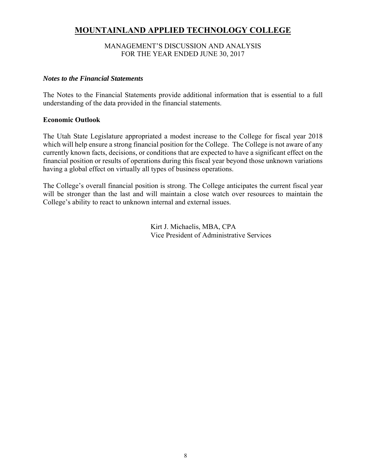### MANAGEMENT'S DISCUSSION AND ANALYSIS FOR THE YEAR ENDED JUNE 30, 2017

### *Notes to the Financial Statements*

The Notes to the Financial Statements provide additional information that is essential to a full understanding of the data provided in the financial statements.

### **Economic Outlook**

The Utah State Legislature appropriated a modest increase to the College for fiscal year 2018 which will help ensure a strong financial position for the College. The College is not aware of any currently known facts, decisions, or conditions that are expected to have a significant effect on the financial position or results of operations during this fiscal year beyond those unknown variations having a global effect on virtually all types of business operations.

The College's overall financial position is strong. The College anticipates the current fiscal year will be stronger than the last and will maintain a close watch over resources to maintain the College's ability to react to unknown internal and external issues.

> Kirt J. Michaelis, MBA, CPA Vice President of Administrative Services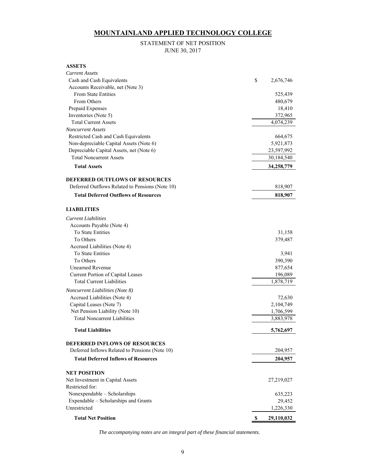#### STATEMENT OF NET POSITION JUNE 30, 2017

#### **ASSETS**

| <b>Current Assets</b>                           |                 |
|-------------------------------------------------|-----------------|
| Cash and Cash Equivalents                       | \$<br>2,676,746 |
| Accounts Receivable, net (Note 3)               |                 |
| <b>From State Entities</b>                      | 525,439         |
| From Others                                     | 480,679         |
| Prepaid Expenses                                | 18,410          |
| Inventories (Note 5)                            | 372,965         |
| <b>Total Current Assets</b>                     | 4,074,239       |
| <b>Noncurrent Assets</b>                        |                 |
| Restricted Cash and Cash Equivalents            | 664,675         |
| Non-depreciable Capital Assets (Note 6)         | 5,921,873       |
| Depreciable Capital Assets, net (Note 6)        | 23,597,992      |
| <b>Total Noncurrent Assets</b>                  | 30,184,540      |
| <b>Total Assets</b>                             | 34,258,779      |
| <b>DEFERRED OUTFLOWS OF RESOURCES</b>           |                 |
| Deferred Outflows Related to Pensions (Note 10) | 818,907         |
| <b>Total Deferred Outflows of Resources</b>     | 818,907         |
| <b>LIABILITIES</b>                              |                 |
| <b>Current Liabilities</b>                      |                 |
| Accounts Payable (Note 4)                       |                 |
| To State Entities                               | 31,158          |
| To Others                                       | 379,487         |
| Accrued Liabilities (Note 4)                    |                 |
| To State Entities                               | 3,941           |
| To Others                                       | 390,390         |
| <b>Unearned Revenue</b>                         | 877,654         |
| Current Portion of Capital Leases               | 196,089         |
| <b>Total Current Liabilities</b>                | 1,878,719       |
| Noncurrent Liabilities (Note 8)                 |                 |
| Accrued Liabilities (Note 4)                    | 72,630          |
| Capital Leases (Note 7)                         | 2,104,749       |
| Net Pension Liability (Note 10)                 | 1,706,599       |
| <b>Total Noncurrent Liabilities</b>             | 3,883,978       |
| <b>Total Liabilities</b>                        | 5,762,697       |
| <b>DEFERRED INFLOWS OF RESOURCES</b>            |                 |
| Deferred Inflows Related to Pensions (Note 10)  | 204,957         |
| <b>Total Deferred Inflows of Resources</b>      | 204,957         |
| <b>NET POSITION</b>                             |                 |
| Net Investment in Capital Assets                | 27,219,027      |
| Restricted for:                                 |                 |
| Nonexpendable - Scholarships                    | 635,223         |
| Expendable - Scholarships and Grants            | 29,452          |
| Unrestricted                                    | 1,226,330       |
| <b>Total Net Position</b>                       | 29,110,032<br>S |

*The accompanying notes are an integral part of these financial statements.*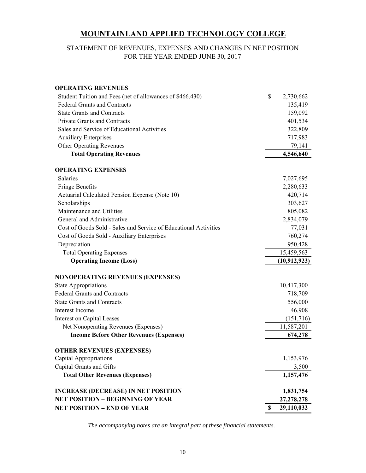### STATEMENT OF REVENUES, EXPENSES AND CHANGES IN NET POSITION FOR THE YEAR ENDED JUNE 30, 2017

| <b>OPERATING REVENUES</b>                                        |                  |
|------------------------------------------------------------------|------------------|
| Student Tuition and Fees (net of allowances of \$466,430)        | \$<br>2,730,662  |
| <b>Federal Grants and Contracts</b>                              | 135,419          |
| <b>State Grants and Contracts</b>                                | 159,092          |
| <b>Private Grants and Contracts</b>                              | 401,534          |
| Sales and Service of Educational Activities                      | 322,809          |
| <b>Auxiliary Enterprises</b>                                     | 717,983          |
| <b>Other Operating Revenues</b>                                  | 79,141           |
| <b>Total Operating Revenues</b>                                  | 4,546,640        |
| <b>OPERATING EXPENSES</b>                                        |                  |
| Salaries                                                         | 7,027,695        |
| <b>Fringe Benefits</b>                                           | 2,280,633        |
| Actuarial Calculated Pension Expense (Note 10)                   | 420,714          |
| Scholarships                                                     | 303,627          |
| Maintenance and Utilities                                        | 805,082          |
| General and Administrative                                       | 2,834,079        |
| Cost of Goods Sold - Sales and Service of Educational Activities | 77,031           |
| Cost of Goods Sold - Auxiliary Enterprises                       | 760,274          |
| Depreciation                                                     | 950,428          |
| <b>Total Operating Expenses</b>                                  | 15,459,563       |
| <b>Operating Income (Loss)</b>                                   | (10, 912, 923)   |
| <b>NONOPERATING REVENUES (EXPENSES)</b>                          |                  |
| <b>State Appropriations</b>                                      | 10,417,300       |
| <b>Federal Grants and Contracts</b>                              | 718,709          |
| <b>State Grants and Contracts</b>                                | 556,000          |
| Interest Income                                                  | 46,908           |
| <b>Interest on Capital Leases</b>                                | (151,716)        |
| Net Nonoperating Revenues (Expenses)                             | 11,587,201       |
| <b>Income Before Other Revenues (Expenses)</b>                   | 674,278          |
| <b>OTHER REVENUES (EXPENSES)</b>                                 |                  |
| Capital Appropriations                                           | 1,153,976        |
| Capital Grants and Gifts                                         | 3,500            |
| <b>Total Other Revenues (Expenses)</b>                           | 1,157,476        |
| <b>INCREASE (DECREASE) IN NET POSITION</b>                       | 1,831,754        |
| <b>NET POSITION - BEGINNING OF YEAR</b>                          | 27, 278, 278     |
| <b>NET POSITION - END OF YEAR</b>                                | \$<br>29,110,032 |

*The accompanying notes are an integral part of these financial statements.*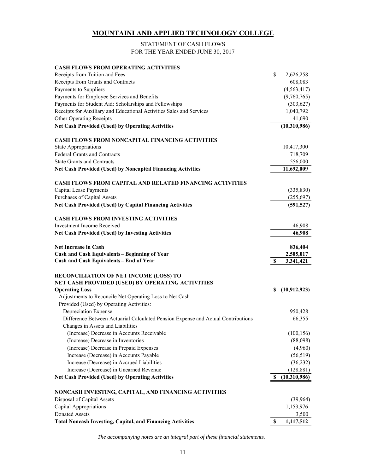#### STATEMENT OF CASH FLOWS FOR THE YEAR ENDED JUNE 30, 2017

| <b>CASH FLOWS FROM OPERATING ACTIVITIES</b>                                      |    |               |
|----------------------------------------------------------------------------------|----|---------------|
| Receipts from Tuition and Fees                                                   | \$ | 2,626,258     |
| Receipts from Grants and Contracts                                               |    | 608,083       |
| Payments to Suppliers                                                            |    | (4, 563, 417) |
| Payments for Employee Services and Benefits                                      |    | (9,760,765)   |
| Payments for Student Aid: Scholarships and Fellowships                           |    | (303,627)     |
| Receipts for Auxiliary and Educational Activities Sales and Services             |    | 1,040,792     |
| Other Operating Receipts                                                         |    | 41,690        |
| <b>Net Cash Provided (Used) by Operating Activities</b>                          |    | (10,310,986)  |
| CASH FLOWS FROM NONCAPITAL FINANCING ACTIVITIES                                  |    |               |
| <b>State Appropriations</b>                                                      |    | 10,417,300    |
| Federal Grants and Contracts                                                     |    | 718,709       |
| <b>State Grants and Contracts</b>                                                |    | 556,000       |
| Net Cash Provided (Used) by Noncapital Financing Activities                      |    | 11,692,009    |
| CASH FLOWS FROM CAPITAL AND RELATED FINANCING ACTIVITIES                         |    |               |
| <b>Capital Lease Payments</b>                                                    |    | (335, 830)    |
| Purchases of Capital Assets                                                      |    | (255,697)     |
| <b>Net Cash Provided (Used) by Capital Financing Activities</b>                  |    | (591, 527)    |
| <b>CASH FLOWS FROM INVESTING ACTIVITIES</b>                                      |    |               |
| <b>Investment Income Received</b>                                                |    | 46,908        |
| <b>Net Cash Provided (Used) by Investing Activities</b>                          |    | 46,908        |
| <b>Net Increase in Cash</b>                                                      |    | 836,404       |
| <b>Cash and Cash Equivalents-Beginning of Year</b>                               |    | 2,505,017     |
| Cash and Cash Equivalents-End of Year                                            | S  | 3,341,421     |
| RECONCILIATION OF NET INCOME (LOSS) TO                                           |    |               |
| NET CASH PROVIDED (USED) BY OPERATING ACTIVITIES                                 |    |               |
| <b>Operating Loss</b>                                                            | S. | (10,912,923)  |
| Adjustments to Reconcile Net Operating Loss to Net Cash                          |    |               |
| Provided (Used) by Operating Activities:                                         |    |               |
| Depreciation Expense                                                             |    | 950,428       |
| Difference Between Actuarial Calculated Pension Expense and Actual Contributions |    | 66,355        |
| Changes in Assets and Liabilities                                                |    |               |
| (Increase) Decrease in Accounts Receivable                                       |    | (100, 156)    |
| (Increase) Decrease in Inventories                                               |    | (88,098)      |
| (Increase) Decrease in Prepaid Expenses                                          |    | (4,960)       |
| Increase (Decrease) in Accounts Payable                                          |    | (56, 519)     |
| Increase (Decrease) in Accrued Liabilities                                       |    | (36, 232)     |
| Increase (Decrease) in Unearned Revenue                                          |    | (128, 881)    |
| <b>Net Cash Provided (Used) by Operating Activities</b>                          | S  | (10,310,986)  |
| NONCASH INVESTING, CAPITAL, AND FINANCING ACTIVITIES                             |    |               |
| Disposal of Capital Assets                                                       |    | (39, 964)     |
| <b>Capital Appropriations</b>                                                    |    | 1,153,976     |
| <b>Donated Assets</b>                                                            |    | 3,500         |
| <b>Total Noncash Investing, Capital, and Financing Activities</b>                | \$ | 1,117,512     |

*The accompanying notes are an integral part of these financial statements.*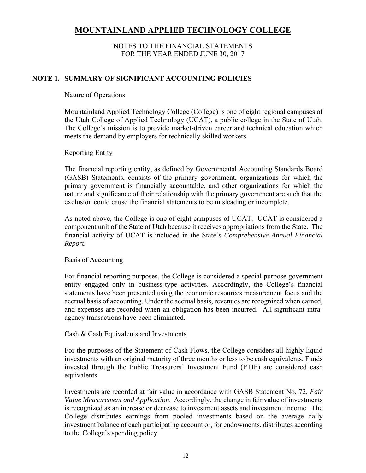### NOTES TO THE FINANCIAL STATEMENTS FOR THE YEAR ENDED JUNE 30, 2017

### **NOTE 1. SUMMARY OF SIGNIFICANT ACCOUNTING POLICIES**

### Nature of Operations

Mountainland Applied Technology College (College) is one of eight regional campuses of the Utah College of Applied Technology (UCAT), a public college in the State of Utah. The College's mission is to provide market-driven career and technical education which meets the demand by employers for technically skilled workers.

### Reporting Entity

The financial reporting entity, as defined by Governmental Accounting Standards Board (GASB) Statements, consists of the primary government, organizations for which the primary government is financially accountable, and other organizations for which the nature and significance of their relationship with the primary government are such that the exclusion could cause the financial statements to be misleading or incomplete.

As noted above, the College is one of eight campuses of UCAT. UCAT is considered a component unit of the State of Utah because it receives appropriations from the State. The financial activity of UCAT is included in the State's *Comprehensive Annual Financial Report.*

### Basis of Accounting

For financial reporting purposes, the College is considered a special purpose government entity engaged only in business-type activities. Accordingly, the College's financial statements have been presented using the economic resources measurement focus and the accrual basis of accounting. Under the accrual basis, revenues are recognized when earned, and expenses are recorded when an obligation has been incurred. All significant intraagency transactions have been eliminated.

### Cash & Cash Equivalents and Investments

For the purposes of the Statement of Cash Flows, the College considers all highly liquid investments with an original maturity of three months or less to be cash equivalents. Funds invested through the Public Treasurers' Investment Fund (PTIF) are considered cash equivalents.

Investments are recorded at fair value in accordance with GASB Statement No. 72, *Fair Value Measurement and Application*. Accordingly, the change in fair value of investments is recognized as an increase or decrease to investment assets and investment income. The College distributes earnings from pooled investments based on the average daily investment balance of each participating account or, for endowments, distributes according to the College's spending policy.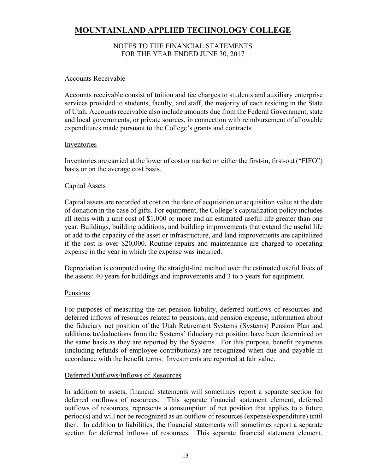### NOTES TO THE FINANCIAL STATEMENTS FOR THE YEAR ENDED JUNE 30, 2017

### Accounts Receivable

Accounts receivable consist of tuition and fee charges to students and auxiliary enterprise services provided to students, faculty, and staff, the majority of each residing in the State of Utah. Accounts receivable also include amounts due from the Federal Government, state and local governments, or private sources, in connection with reimbursement of allowable expenditures made pursuant to the College's grants and contracts.

### Inventories

Inventories are carried at the lower of cost or market on either the first-in, first-out ("FIFO") basis or on the average cost basis.

### Capital Assets

Capital assets are recorded at cost on the date of acquisition or acquisition value at the date of donation in the case of gifts. For equipment, the College's capitalization policy includes all items with a unit cost of \$1,000 or more and an estimated useful life greater than one year. Buildings, building additions, and building improvements that extend the useful life or add to the capacity of the asset or infrastructure, and land improvements are capitalized if the cost is over \$20,000. Routine repairs and maintenance are charged to operating expense in the year in which the expense was incurred.

Depreciation is computed using the straight-line method over the estimated useful lives of the assets: 40 years for buildings and improvements and 3 to 5 years for equipment.

### Pensions

For purposes of measuring the net pension liability, deferred outflows of resources and deferred inflows of resources related to pensions, and pension expense, information about the fiduciary net position of the Utah Retirement Systems (Systems) Pension Plan and additions to/deductions from the Systems' fiduciary net position have been determined on the same basis as they are reported by the Systems. For this purpose, benefit payments (including refunds of employee contributions) are recognized when due and payable in accordance with the benefit terms. Investments are reported at fair value.

### Deferred Outflows/Inflows of Resources

In addition to assets, financial statements will sometimes report a separate section for deferred outflows of resources. This separate financial statement element, deferred outflows of resources, represents a consumption of net position that applies to a future period(s) and will not be recognized as an outflow of resources (expense/expenditure) until then. In addition to liabilities, the financial statements will sometimes report a separate section for deferred inflows of resources. This separate financial statement element,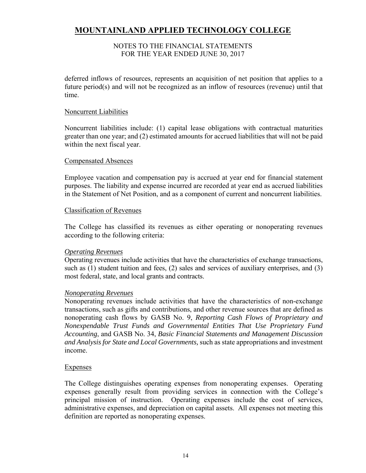### NOTES TO THE FINANCIAL STATEMENTS FOR THE YEAR ENDED JUNE 30, 2017

deferred inflows of resources, represents an acquisition of net position that applies to a future period(s) and will not be recognized as an inflow of resources (revenue) until that time.

### Noncurrent Liabilities

Noncurrent liabilities include: (1) capital lease obligations with contractual maturities greater than one year; and (2) estimated amounts for accrued liabilities that will not be paid within the next fiscal year.

### Compensated Absences

Employee vacation and compensation pay is accrued at year end for financial statement purposes. The liability and expense incurred are recorded at year end as accrued liabilities in the Statement of Net Position, and as a component of current and noncurrent liabilities.

### Classification of Revenues

The College has classified its revenues as either operating or nonoperating revenues according to the following criteria:

### *Operating Revenues*

Operating revenues include activities that have the characteristics of exchange transactions, such as (1) student tuition and fees, (2) sales and services of auxiliary enterprises, and (3) most federal, state, and local grants and contracts.

### *Nonoperating Revenues*

Nonoperating revenues include activities that have the characteristics of non-exchange transactions, such as gifts and contributions, and other revenue sources that are defined as nonoperating cash flows by GASB No. 9, *Reporting Cash Flows of Proprietary and Nonexpendable Trust Funds and Governmental Entities That Use Proprietary Fund Accounting*, and GASB No. 34, *Basic Financial Statements and Management Discussion and Analysis for State and Local Governments,* such as state appropriations and investment income.

#### **Expenses**

The College distinguishes operating expenses from nonoperating expenses. Operating expenses generally result from providing services in connection with the College's principal mission of instruction. Operating expenses include the cost of services, administrative expenses, and depreciation on capital assets. All expenses not meeting this definition are reported as nonoperating expenses.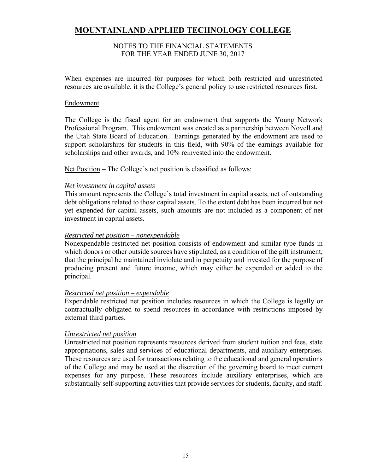### NOTES TO THE FINANCIAL STATEMENTS FOR THE YEAR ENDED JUNE 30, 2017

When expenses are incurred for purposes for which both restricted and unrestricted resources are available, it is the College's general policy to use restricted resources first.

### Endowment

The College is the fiscal agent for an endowment that supports the Young Network Professional Program. This endowment was created as a partnership between Novell and the Utah State Board of Education. Earnings generated by the endowment are used to support scholarships for students in this field, with 90% of the earnings available for scholarships and other awards, and 10% reinvested into the endowment.

Net Position – The College's net position is classified as follows:

### *Net investment in capital assets*

This amount represents the College's total investment in capital assets, net of outstanding debt obligations related to those capital assets. To the extent debt has been incurred but not yet expended for capital assets, such amounts are not included as a component of net investment in capital assets.

### *Restricted net position – nonexpendable*

Nonexpendable restricted net position consists of endowment and similar type funds in which donors or other outside sources have stipulated, as a condition of the gift instrument, that the principal be maintained inviolate and in perpetuity and invested for the purpose of producing present and future income, which may either be expended or added to the principal.

#### *Restricted net position – expendable*

Expendable restricted net position includes resources in which the College is legally or contractually obligated to spend resources in accordance with restrictions imposed by external third parties.

### *Unrestricted net position*

Unrestricted net position represents resources derived from student tuition and fees, state appropriations, sales and services of educational departments, and auxiliary enterprises. These resources are used for transactions relating to the educational and general operations of the College and may be used at the discretion of the governing board to meet current expenses for any purpose. These resources include auxiliary enterprises, which are substantially self-supporting activities that provide services for students, faculty, and staff.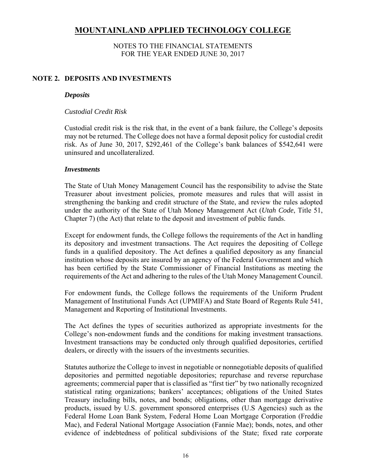NOTES TO THE FINANCIAL STATEMENTS FOR THE YEAR ENDED JUNE 30, 2017

### **NOTE 2. DEPOSITS AND INVESTMENTS**

### *Deposits*

### *Custodial Credit Risk*

Custodial credit risk is the risk that, in the event of a bank failure, the College's deposits may not be returned. The College does not have a formal deposit policy for custodial credit risk. As of June 30, 2017, \$292,461 of the College's bank balances of \$542,641 were uninsured and uncollateralized.

### *Investments*

The State of Utah Money Management Council has the responsibility to advise the State Treasurer about investment policies, promote measures and rules that will assist in strengthening the banking and credit structure of the State, and review the rules adopted under the authority of the State of Utah Money Management Act (*Utah Code*, Title 51, Chapter 7) (the Act) that relate to the deposit and investment of public funds.

Except for endowment funds, the College follows the requirements of the Act in handling its depository and investment transactions. The Act requires the depositing of College funds in a qualified depository. The Act defines a qualified depository as any financial institution whose deposits are insured by an agency of the Federal Government and which has been certified by the State Commissioner of Financial Institutions as meeting the requirements of the Act and adhering to the rules of the Utah Money Management Council.

For endowment funds, the College follows the requirements of the Uniform Prudent Management of Institutional Funds Act (UPMIFA) and State Board of Regents Rule 541, Management and Reporting of Institutional Investments.

The Act defines the types of securities authorized as appropriate investments for the College's non-endowment funds and the conditions for making investment transactions. Investment transactions may be conducted only through qualified depositories, certified dealers, or directly with the issuers of the investments securities.

Statutes authorize the College to invest in negotiable or nonnegotiable deposits of qualified depositories and permitted negotiable depositories; repurchase and reverse repurchase agreements; commercial paper that is classified as "first tier" by two nationally recognized statistical rating organizations; bankers' acceptances; obligations of the United States Treasury including bills, notes, and bonds; obligations, other than mortgage derivative products, issued by U.S. government sponsored enterprises (U.S Agencies) such as the Federal Home Loan Bank System, Federal Home Loan Mortgage Corporation (Freddie Mac), and Federal National Mortgage Association (Fannie Mae); bonds, notes, and other evidence of indebtedness of political subdivisions of the State; fixed rate corporate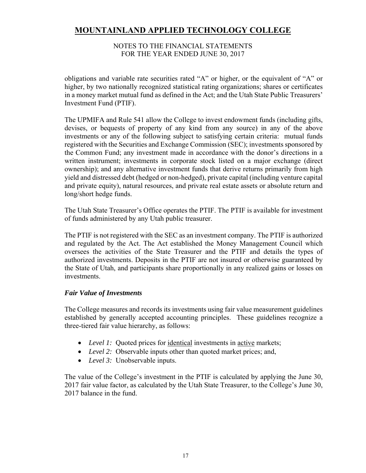### NOTES TO THE FINANCIAL STATEMENTS FOR THE YEAR ENDED JUNE 30, 2017

obligations and variable rate securities rated "A" or higher, or the equivalent of "A" or higher, by two nationally recognized statistical rating organizations; shares or certificates in a money market mutual fund as defined in the Act; and the Utah State Public Treasurers' Investment Fund (PTIF).

The UPMIFA and Rule 541 allow the College to invest endowment funds (including gifts, devises, or bequests of property of any kind from any source) in any of the above investments or any of the following subject to satisfying certain criteria: mutual funds registered with the Securities and Exchange Commission (SEC); investments sponsored by the Common Fund; any investment made in accordance with the donor's directions in a written instrument; investments in corporate stock listed on a major exchange (direct ownership); and any alternative investment funds that derive returns primarily from high yield and distressed debt (hedged or non-hedged), private capital (including venture capital and private equity), natural resources, and private real estate assets or absolute return and long/short hedge funds.

The Utah State Treasurer's Office operates the PTIF. The PTIF is available for investment of funds administered by any Utah public treasurer.

The PTIF is not registered with the SEC as an investment company. The PTIF is authorized and regulated by the Act. The Act established the Money Management Council which oversees the activities of the State Treasurer and the PTIF and details the types of authorized investments. Deposits in the PTIF are not insured or otherwise guaranteed by the State of Utah, and participants share proportionally in any realized gains or losses on investments.

### *Fair Value of Investments*

The College measures and records its investments using fair value measurement guidelines established by generally accepted accounting principles. These guidelines recognize a three-tiered fair value hierarchy, as follows:

- Level 1: Quoted prices for <u>identical</u> investments in <u>active</u> markets;
- *Level 2:* Observable inputs other than quoted market prices; and,
- *Level 3:* Unobservable inputs.

The value of the College's investment in the PTIF is calculated by applying the June 30, 2017 fair value factor, as calculated by the Utah State Treasurer, to the College's June 30, 2017 balance in the fund.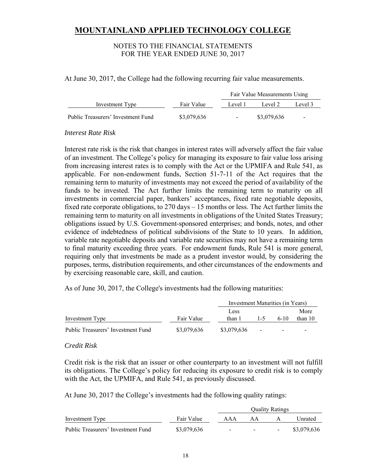### NOTES TO THE FINANCIAL STATEMENTS FOR THE YEAR ENDED JUNE 30, 2017

At June 30, 2017, the College had the following recurring fair value measurements.

|                                    |             |         | Fair Value Measurements Using |                          |  |  |
|------------------------------------|-------------|---------|-------------------------------|--------------------------|--|--|
| Investment Type                    | Fair Value  | Level 1 | Level 2                       | Level 3                  |  |  |
| Public Treasurers' Investment Fund | \$3,079,636 | $\sim$  | \$3,079,636                   | $\overline{\phantom{a}}$ |  |  |

### *Interest Rate Risk*

Interest rate risk is the risk that changes in interest rates will adversely affect the fair value of an investment. The College's policy for managing its exposure to fair value loss arising from increasing interest rates is to comply with the Act or the UPMIFA and Rule 541, as applicable. For non-endowment funds, Section 51-7-11 of the Act requires that the remaining term to maturity of investments may not exceed the period of availability of the funds to be invested. The Act further limits the remaining term to maturity on all investments in commercial paper, bankers' acceptances, fixed rate negotiable deposits, fixed rate corporate obligations, to 270 days – 15 months or less. The Act further limits the remaining term to maturity on all investments in obligations of the United States Treasury; obligations issued by U.S. Government-sponsored enterprises; and bonds, notes, and other evidence of indebtedness of political subdivisions of the State to 10 years. In addition, variable rate negotiable deposits and variable rate securities may not have a remaining term to final maturity exceeding three years. For endowment funds, Rule 541 is more general, requiring only that investments be made as a prudent investor would, by considering the purposes, terms, distribution requirements, and other circumstances of the endowments and by exercising reasonable care, skill, and caution.

As of June 30, 2017, the College's investments had the following maturities:

|                                    |             | Investment Maturities (in Years) |         |                          |                          |
|------------------------------------|-------------|----------------------------------|---------|--------------------------|--------------------------|
|                                    |             | Less                             |         |                          | More                     |
| Investment Type                    | Fair Value  | than 1                           | $1 - 5$ | $6-10$                   | than 10                  |
| Public Treasurers' Investment Fund | \$3,079,636 | \$3,079,636                      | ۰       | $\overline{\phantom{a}}$ | $\overline{\phantom{a}}$ |

#### *Credit Risk*

Credit risk is the risk that an issuer or other counterparty to an investment will not fulfill its obligations. The College's policy for reducing its exposure to credit risk is to comply with the Act, the UPMIFA, and Rule 541, as previously discussed.

At June 30, 2017 the College's investments had the following quality ratings:

|                                    |             | <b>Ouality Ratings</b> |               |  |             |  |
|------------------------------------|-------------|------------------------|---------------|--|-------------|--|
| Investment Type                    | Fair Value  | AAA                    | AA            |  | Unrated     |  |
| Public Treasurers' Investment Fund | \$3,079,636 | -                      | $\sim$ $\sim$ |  | \$3,079,636 |  |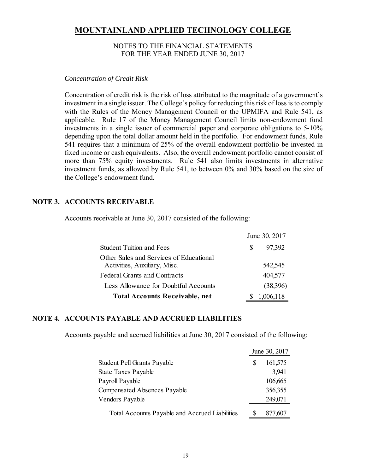#### NOTES TO THE FINANCIAL STATEMENTS FOR THE YEAR ENDED JUNE 30, 2017

#### *Concentration of Credit Risk*

Concentration of credit risk is the risk of loss attributed to the magnitude of a government's investment in a single issuer. The College's policy for reducing this risk of loss is to comply with the Rules of the Money Management Council or the UPMIFA and Rule 541, as applicable. Rule 17 of the Money Management Council limits non-endowment fund investments in a single issuer of commercial paper and corporate obligations to 5-10% depending upon the total dollar amount held in the portfolio. For endowment funds, Rule 541 requires that a minimum of 25% of the overall endowment portfolio be invested in fixed income or cash equivalents. Also, the overall endowment portfolio cannot consist of more than 75% equity investments. Rule 541 also limits investments in alternative investment funds, as allowed by Rule 541, to between 0% and 30% based on the size of the College's endowment fund.

#### **NOTE 3. ACCOUNTS RECEIVABLE**

Accounts receivable at June 30, 2017 consisted of the following:

|                                                                         | June 30, 2017 |           |
|-------------------------------------------------------------------------|---------------|-----------|
| <b>Student Tuition and Fees</b>                                         | S.            | 97,392    |
| Other Sales and Services of Educational<br>Activities, Auxiliary, Misc. |               | 542,545   |
| <b>Federal Grants and Contracts</b>                                     |               | 404,577   |
| Less Allowance for Doubtful Accounts                                    |               | (38,396)  |
| <b>Total Accounts Receivable, net</b>                                   |               | 1,006,118 |

#### **NOTE 4. ACCOUNTS PAYABLE AND ACCRUED LIABILITIES**

Accounts payable and accrued liabilities at June 30, 2017 consisted of the following:

|                                                       |    | June 30, 2017 |
|-------------------------------------------------------|----|---------------|
| <b>Student Pell Grants Payable</b>                    | S. | 161,575       |
| <b>State Taxes Payable</b>                            |    | 3,941         |
| Payroll Payable                                       |    | 106,665       |
| <b>Compensated Absences Payable</b>                   |    | 356,355       |
| Vendors Payable                                       |    | 249,071       |
| <b>Total Accounts Payable and Accrued Liabilities</b> |    | 877,607       |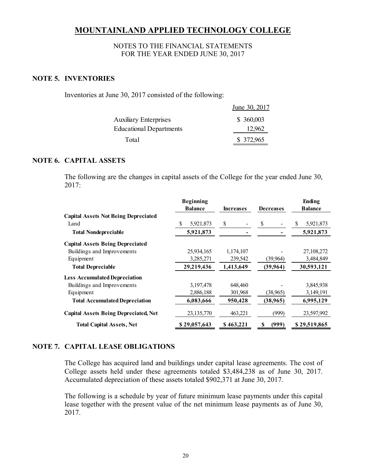### NOTES TO THE FINANCIAL STATEMENTS FOR THE YEAR ENDED JUNE 30, 2017

### **NOTE 5. INVENTORIES**

Inventories at June 30, 2017 consisted of the following:

|                                | June 30, 2017 |
|--------------------------------|---------------|
| <b>Auxiliary Enterprises</b>   | \$360,003     |
| <b>Educational Departments</b> | 12,962        |
| Total                          | \$ 372,965    |

#### **NOTE 6. CAPITAL ASSETS**

The following are the changes in capital assets of the College for the year ended June 30, 2017:

|                                              | <b>Beginning</b> |                  |                  | Ending         |
|----------------------------------------------|------------------|------------------|------------------|----------------|
|                                              | <b>Balance</b>   | <b>Increases</b> | <b>Decreases</b> | <b>Balance</b> |
| <b>Capital Assets Not Being Depreciated</b>  |                  |                  |                  |                |
| Land                                         | 5,921,873<br>S   | \$               | S                | 5,921,873<br>S |
| <b>Total Nondepreciable</b>                  | 5,921,873        |                  |                  | 5,921,873      |
| <b>Capital Assets Being Depreciated</b>      |                  |                  |                  |                |
| Buildings and Improvements                   | 25,934,165       | 1,174,107        |                  | 27,108,272     |
| Equipment                                    | 3,285,271        | 239,542          | (39,964)         | 3,484,849      |
| <b>Total Depreciable</b>                     | 29,219,436       | 1,413,649        | (39,964)         | 30,593,121     |
| <b>Less Accumulated Depreciation</b>         |                  |                  |                  |                |
| Buildings and Improvements                   | 3,197,478        | 648,460          |                  | 3,845,938      |
| Equipment                                    | 2,886,188        | 301,968          | (38,965)         | 3, 149, 191    |
| <b>Total Accumulated Depreciation</b>        | 6,083,666        | 950,428          | (38, 965)        | 6,995,129      |
| <b>Capital Assets Being Depreciated, Net</b> | 23, 135, 770     | 463,221          | (999)            | 23,597,992     |
| <b>Total Capital Assets, Net</b>             | \$29,057,643     | \$463,221        | (999)            | \$29,519,865   |

### **NOTE 7. CAPITAL LEASE OBLIGATIONS**

The College has acquired land and buildings under capital lease agreements. The cost of College assets held under these agreements totaled \$3,484,238 as of June 30, 2017. Accumulated depreciation of these assets totaled \$902,371 at June 30, 2017.

The following is a schedule by year of future minimum lease payments under this capital lease together with the present value of the net minimum lease payments as of June 30, 2017.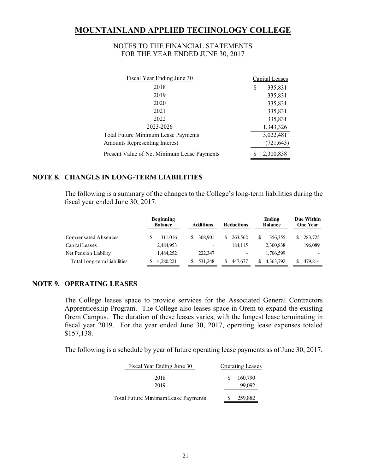### NOTES TO THE FINANCIAL STATEMENTS FOR THE YEAR ENDED JUNE 30, 2017

| Fiscal Year Ending June 30                  |   | Capital Leases |
|---------------------------------------------|---|----------------|
| 2018                                        | S | 335,831        |
| 2019                                        |   | 335,831        |
| 2020                                        |   | 335,831        |
| 2021                                        |   | 335,831        |
| 2022                                        |   | 335,831        |
| 2023-2026                                   |   | 1,343,326      |
| <b>Total Future Minimum Lease Payments</b>  |   | 3,022,481      |
| <b>Amounts Representing Interest</b>        |   | (721, 643)     |
| Present Value of Net Minimum Lease Payments |   | 2,300,838      |

### **NOTE 8. CHANGES IN LONG-TERM LIABILITIES**

The following is a summary of the changes to the College's long-term liabilities during the fiscal year ended June 30, 2017.

|                             | <b>Beginning</b><br><b>Balance</b> | <b>Additions</b>         | <b>Reductions</b>        | Ending<br><b>Balance</b> | Due Within<br><b>One Year</b> |
|-----------------------------|------------------------------------|--------------------------|--------------------------|--------------------------|-------------------------------|
| Compensated Absences        | 311,016                            | 308,901                  | 263,562                  | 356,355<br>S             | 283,725                       |
| Capital Leases              | 2,484,953                          | $\overline{\phantom{0}}$ | 184,115                  | 2,300,838                | 196,089                       |
| Net Pension Liability       | 1,484,252                          | 222,347                  | $\overline{\phantom{a}}$ | 1,706,599                |                               |
| Total Long-term Liabilities | 4,280,221                          | 531,248                  | 447,677                  | 4,363,792                | 479.814                       |

### **NOTE 9. OPERATING LEASES**

The College leases space to provide services for the Associated General Contractors Apprenticeship Program. The College also leases space in Orem to expand the existing Orem Campus. The duration of these leases varies, with the longest lease terminating in fiscal year 2019. For the year ended June 30, 2017, operating lease expenses totaled \$157,138.

The following is a schedule by year of future operating lease payments as of June 30, 2017.

| Fiscal Year Ending June 30          |    | Operating Leases |
|-------------------------------------|----|------------------|
| 2018                                | -S | 160,790          |
| 2019                                |    | 99,092           |
| Total Future Minimum Lease Payments |    | 259,882          |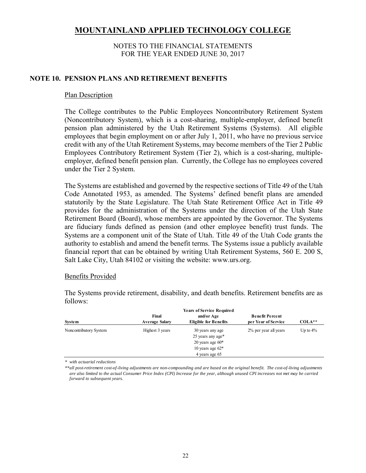### NOTES TO THE FINANCIAL STATEMENTS FOR THE YEAR ENDED JUNE 30, 2017

### **NOTE 10. PENSION PLANS AND RETIREMENT BENEFITS**

#### Plan Description

The College contributes to the Public Employees Noncontributory Retirement System (Noncontributory System), which is a cost-sharing, multiple-employer, defined benefit pension plan administered by the Utah Retirement Systems (Systems). All eligible employees that begin employment on or after July 1, 2011, who have no previous service credit with any of the Utah Retirement Systems, may become members of the Tier 2 Public Employees Contributory Retirement System (Tier 2), which is a cost-sharing, multipleemployer, defined benefit pension plan. Currently, the College has no employees covered under the Tier 2 System.

The Systems are established and governed by the respective sections of Title 49 of the Utah Code Annotated 1953, as amended. The Systems' defined benefit plans are amended statutorily by the State Legislature. The Utah State Retirement Office Act in Title 49 provides for the administration of the Systems under the direction of the Utah State Retirement Board (Board), whose members are appointed by the Governor. The Systems are fiduciary funds defined as pension (and other employee benefit) trust funds. The Systems are a component unit of the State of Utah. Title 49 of the Utah Code grants the authority to establish and amend the benefit terms. The Systems issue a publicly available financial report that can be obtained by writing Utah Retirement Systems, 560 E. 200 S, Salt Lake City, Utah 84102 or visiting the website: www.urs.org.

### Benefits Provided

The Systems provide retirement, disability, and death benefits. Retirement benefits are as follows:

| <b>Years of Service Required</b> |                                |                                            |                                               |             |
|----------------------------------|--------------------------------|--------------------------------------------|-----------------------------------------------|-------------|
| <b>System</b>                    | Final<br><b>Average Salary</b> | and/or Age<br><b>Eligible for Benefits</b> | <b>Benefit Percent</b><br>per Year of Service | $COLA**$    |
| Noncontributory System           | Highest 3 years                | 30 years any age                           | 2% per year all years                         | Up to $4\%$ |
|                                  |                                | 25 years any age*                          |                                               |             |
|                                  |                                | 20 years age $60*$                         |                                               |             |
|                                  |                                | 10 years age $62*$                         |                                               |             |
|                                  |                                | 4 years age 65                             |                                               |             |

*\* with actuarial reductions*

*\*\*all post-retirement cost-of-living adjustments are non-compounding and are based on the original benefit. The cost-of-living adjustments are also limited to the actual Consumer Price Index (CPI) Increase for the year, although unused CPI increases not met may be carried forward to subsequent years.*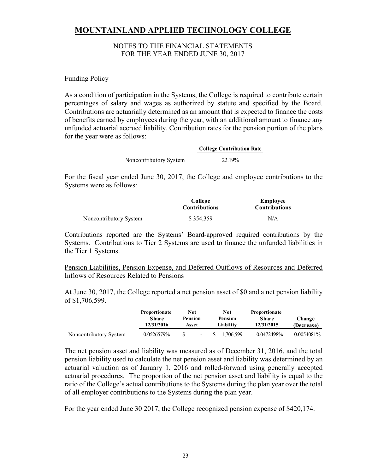### NOTES TO THE FINANCIAL STATEMENTS FOR THE YEAR ENDED JUNE 30, 2017

### **Funding Policy**

As a condition of participation in the Systems, the College is required to contribute certain percentages of salary and wages as authorized by statute and specified by the Board. Contributions are actuarially determined as an amount that is expected to finance the costs of benefits earned by employees during the year, with an additional amount to finance any unfunded actuarial accrued liability. Contribution rates for the pension portion of the plans for the year were as follows:

|                        | <b>College Contribution Rate</b> |
|------------------------|----------------------------------|
| Noncontributory System | 22.19%                           |

For the fiscal year ended June 30, 2017, the College and employee contributions to the Systems were as follows:

|                        | College<br><b>Contributions</b> | Employee<br><b>Contributions</b> |
|------------------------|---------------------------------|----------------------------------|
| Noncontributory System | \$354,359                       | N/A                              |

Contributions reported are the Systems' Board-approved required contributions by the Systems. Contributions to Tier 2 Systems are used to finance the unfunded liabilities in the Tier 1 Systems.

Pension Liabilities, Pension Expense, and Deferred Outflows of Resources and Deferred Inflows of Resources Related to Pensions

At June 30, 2017, the College reported a net pension asset of \$0 and a net pension liability of \$1,706,599.

|                        | <b>Proportionate</b> | Net              |                |     | <b>Net</b>           | <b>Proportionate</b>       |                      |
|------------------------|----------------------|------------------|----------------|-----|----------------------|----------------------------|----------------------|
|                        | Share<br>12/31/2016  | Pension<br>Asset |                |     | Pension<br>Liabilitv | <b>Share</b><br>12/31/2015 | Change<br>(Decrease) |
| Noncontributory System | 0.0526579%           |                  | <b>Service</b> | -80 | 1.706.599            | 0.0472498%                 | 0.0054081%           |

The net pension asset and liability was measured as of December 31, 2016, and the total pension liability used to calculate the net pension asset and liability was determined by an actuarial valuation as of January 1, 2016 and rolled-forward using generally accepted actuarial procedures. The proportion of the net pension asset and liability is equal to the ratio of the College's actual contributions to the Systems during the plan year over the total of all employer contributions to the Systems during the plan year.

For the year ended June 30 2017, the College recognized pension expense of \$420,174.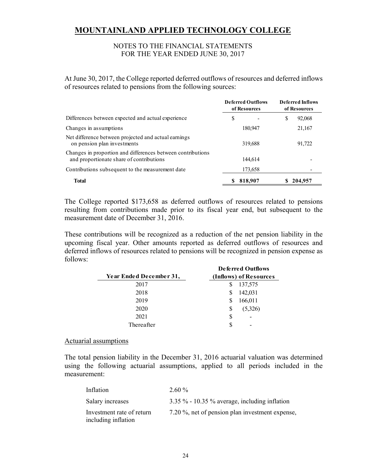### NOTES TO THE FINANCIAL STATEMENTS FOR THE YEAR ENDED JUNE 30, 2017

At June 30, 2017, the College reported deferred outflows of resources and deferred inflows of resources related to pensions from the following sources:

|                                                                                                         |   | <b>Deferred Outflows</b><br>of Resources |    | <b>Deferred Inflows</b><br>of Resources |  |
|---------------------------------------------------------------------------------------------------------|---|------------------------------------------|----|-----------------------------------------|--|
| Differences between expected and actual experience                                                      | S |                                          | \$ | 92,068                                  |  |
| Changes in assumptions                                                                                  |   | 180,947                                  |    | 21,167                                  |  |
| Net difference between projected and actual earnings<br>on pension plan investments                     |   | 319,688                                  |    | 91,722                                  |  |
| Changes in proportion and differences between contributions<br>and proportionate share of contributions |   | 144,614                                  |    |                                         |  |
| Contributions subsequent to the measurement date                                                        |   | 173,658                                  |    |                                         |  |
| <b>Total</b>                                                                                            |   | 818,907                                  |    | 204,957                                 |  |

The College reported \$173,658 as deferred outflows of resources related to pensions resulting from contributions made prior to its fiscal year end, but subsequent to the measurement date of December 31, 2016.

These contributions will be recognized as a reduction of the net pension liability in the upcoming fiscal year. Other amounts reported as deferred outflows of resources and deferred inflows of resources related to pensions will be recognized in pension expense as follows:

| Year Ended December 31, | <b>Deferred Outflows</b><br>(Inflows) of Resources |
|-------------------------|----------------------------------------------------|
| 2017                    | 137,575                                            |
| 2018                    | 142,031                                            |
| 2019                    | 166,011<br>S                                       |
| 2020                    | (5,326)<br>\$                                      |
| 2021                    | S                                                  |
| Thereafter              | S                                                  |

#### Actuarial assumptions

The total pension liability in the December 31, 2016 actuarial valuation was determined using the following actuarial assumptions, applied to all periods included in the measurement:

| Inflation                                        | $2.60\%$                                        |
|--------------------------------------------------|-------------------------------------------------|
| Salary increases                                 | $3.35\%$ - 10.35 % average, including inflation |
| Investment rate of return<br>including inflation | 7.20 %, net of pension plan investment expense, |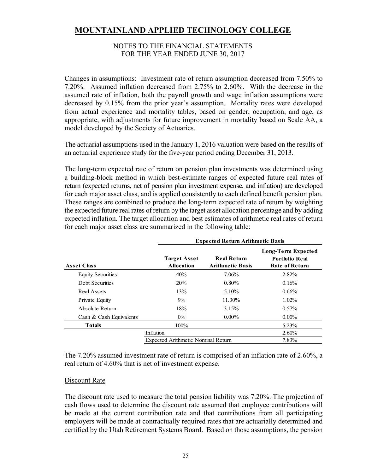### NOTES TO THE FINANCIAL STATEMENTS FOR THE YEAR ENDED JUNE 30, 2017

Changes in assumptions: Investment rate of return assumption decreased from 7.50% to 7.20%. Assumed inflation decreased from 2.75% to 2.60%. With the decrease in the assumed rate of inflation, both the payroll growth and wage inflation assumptions were decreased by 0.15% from the prior year's assumption. Mortality rates were developed from actual experience and mortality tables, based on gender, occupation, and age, as appropriate, with adjustments for future improvement in mortality based on Scale AA, a model developed by the Society of Actuaries.

The actuarial assumptions used in the January 1, 2016 valuation were based on the results of an actuarial experience study for the five-year period ending December 31, 2013.

The long-term expected rate of return on pension plan investments was determined using a building-block method in which best-estimate ranges of expected future real rates of return (expected returns, net of pension plan investment expense, and inflation) are developed for each major asset class, and is applied consistently to each defined benefit pension plan. These ranges are combined to produce the long-term expected rate of return by weighting the expected future real rates of return by the target asset allocation percentage and by adding expected inflation. The target allocation and best estimates of arithmetic real rates of return for each major asset class are summarized in the following table:

|                          | <b>Expected Return Arithmetic Basis</b>  |                                               |                                                                      |  |  |  |  |
|--------------------------|------------------------------------------|-----------------------------------------------|----------------------------------------------------------------------|--|--|--|--|
| <b>Asset Class</b>       | <b>Target Asset</b><br><b>Allocation</b> | <b>Real Return</b><br><b>Arithmetic Basis</b> | Long-Term Expected<br><b>Portfolio Real</b><br><b>Rate of Return</b> |  |  |  |  |
| <b>Equity Securities</b> | 40%                                      | 7.06%                                         | 2.82%                                                                |  |  |  |  |
| Debt Securities          | 20%                                      | $0.80\%$                                      | 0.16%                                                                |  |  |  |  |
| Real Assets              | 13%                                      | 5.10%                                         | $0.66\%$                                                             |  |  |  |  |
| Private Equity           | $9\%$                                    | 11.30%                                        | $1.02\%$                                                             |  |  |  |  |
| Absolute Return          | 18%                                      | 3.15%                                         | $0.57\%$                                                             |  |  |  |  |
| Cash & Cash Equivalents  | $0\%$                                    | $0.00\%$                                      | $0.00\%$                                                             |  |  |  |  |
| <b>Totals</b>            | 100%                                     |                                               | 5.23%                                                                |  |  |  |  |
|                          | Inflation                                |                                               | $2.60\%$                                                             |  |  |  |  |
|                          | Expected Arithmetic Nominal Return       | 7.83%                                         |                                                                      |  |  |  |  |

The 7.20% assumed investment rate of return is comprised of an inflation rate of 2.60%, a real return of 4.60% that is net of investment expense.

### Discount Rate

The discount rate used to measure the total pension liability was 7.20%. The projection of cash flows used to determine the discount rate assumed that employee contributions will be made at the current contribution rate and that contributions from all participating employers will be made at contractually required rates that are actuarially determined and certified by the Utah Retirement Systems Board. Based on those assumptions, the pension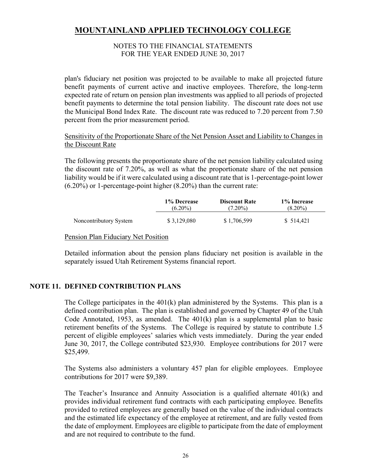### NOTES TO THE FINANCIAL STATEMENTS FOR THE YEAR ENDED JUNE 30, 2017

plan's fiduciary net position was projected to be available to make all projected future benefit payments of current active and inactive employees. Therefore, the long-term expected rate of return on pension plan investments was applied to all periods of projected benefit payments to determine the total pension liability. The discount rate does not use the Municipal Bond Index Rate. The discount rate was reduced to 7.20 percent from 7.50 percent from the prior measurement period.

Sensitivity of the Proportionate Share of the Net Pension Asset and Liability to Changes in the Discount Rate

The following presents the proportionate share of the net pension liability calculated using the discount rate of 7.20%, as well as what the proportionate share of the net pension liability would be if it were calculated using a discount rate that is 1-percentage-point lower (6.20%) or 1-percentage-point higher (8.20%) than the current rate:

|                        | 1% Decrease | <b>Discount Rate</b> | 1% Increase |
|------------------------|-------------|----------------------|-------------|
|                        | $(6.20\%)$  | $(7.20\%)$           | $(8.20\%)$  |
| Noncontributory System | \$3,129,080 | \$1,706,599          | \$ 514,421  |

#### Pension Plan Fiduciary Net Position

Detailed information about the pension plans fiduciary net position is available in the separately issued Utah Retirement Systems financial report.

### **NOTE 11. DEFINED CONTRIBUTION PLANS**

The College participates in the  $401(k)$  plan administered by the Systems. This plan is a defined contribution plan. The plan is established and governed by Chapter 49 of the Utah Code Annotated, 1953, as amended. The 401(k) plan is a supplemental plan to basic retirement benefits of the Systems. The College is required by statute to contribute 1.5 percent of eligible employees' salaries which vests immediately. During the year ended June 30, 2017, the College contributed \$23,930. Employee contributions for 2017 were \$25,499.

The Systems also administers a voluntary 457 plan for eligible employees. Employee contributions for 2017 were \$9,389.

The Teacher's Insurance and Annuity Association is a qualified alternate 401(k) and provides individual retirement fund contracts with each participating employee. Benefits provided to retired employees are generally based on the value of the individual contracts and the estimated life expectancy of the employee at retirement, and are fully vested from the date of employment. Employees are eligible to participate from the date of employment and are not required to contribute to the fund.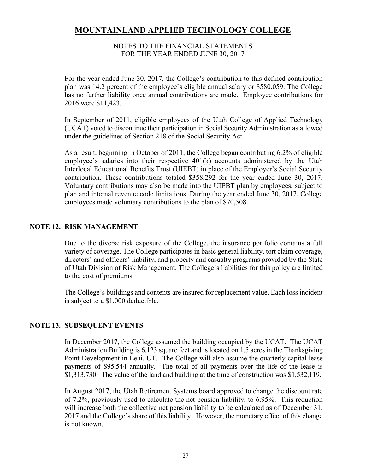NOTES TO THE FINANCIAL STATEMENTS FOR THE YEAR ENDED JUNE 30, 2017

For the year ended June 30, 2017, the College's contribution to this defined contribution plan was 14.2 percent of the employee's eligible annual salary or \$580,059. The College has no further liability once annual contributions are made. Employee contributions for 2016 were \$11,423.

In September of 2011, eligible employees of the Utah College of Applied Technology (UCAT) voted to discontinue their participation in Social Security Administration as allowed under the guidelines of Section 218 of the Social Security Act.

As a result, beginning in October of 2011, the College began contributing 6.2% of eligible employee's salaries into their respective 401(k) accounts administered by the Utah Interlocal Educational Benefits Trust (UIEBT) in place of the Employer's Social Security contribution. These contributions totaled \$358,292 for the year ended June 30, 2017. Voluntary contributions may also be made into the UIEBT plan by employees, subject to plan and internal revenue code limitations. During the year ended June 30, 2017, College employees made voluntary contributions to the plan of \$70,508.

### **NOTE 12. RISK MANAGEMENT**

Due to the diverse risk exposure of the College, the insurance portfolio contains a full variety of coverage. The College participates in basic general liability, tort claim coverage, directors' and officers' liability, and property and casualty programs provided by the State of Utah Division of Risk Management. The College's liabilities for this policy are limited to the cost of premiums.

The College's buildings and contents are insured for replacement value. Each loss incident is subject to a \$1,000 deductible.

### **NOTE 13. SUBSEQUENT EVENTS**

In December 2017, the College assumed the building occupied by the UCAT. The UCAT Administration Building is 6,123 square feet and is located on 1.5 acres in the Thanksgiving Point Development in Lehi, UT. The College will also assume the quarterly capital lease payments of \$95,544 annually. The total of all payments over the life of the lease is \$1,313,730. The value of the land and building at the time of construction was \$1,532,119.

In August 2017, the Utah Retirement Systems board approved to change the discount rate of 7.2%, previously used to calculate the net pension liability, to 6.95%. This reduction will increase both the collective net pension liability to be calculated as of December 31, 2017 and the College's share of this liability. However, the monetary effect of this change is not known.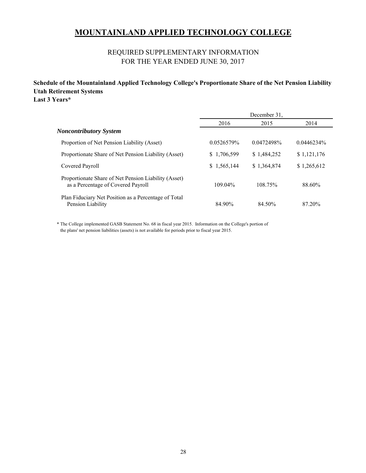### REQUIRED SUPPLEMENTARY INFORMATION FOR THE YEAR ENDED JUNE 30, 2017

### **Schedule of the Mountainland Applied Technology College's Proportionate Share of the Net Pension Liability Utah Retirement Systems Last 3 Years\***

|                                                                                            | December 31. |             |             |  |  |
|--------------------------------------------------------------------------------------------|--------------|-------------|-------------|--|--|
|                                                                                            | 2016         | 2015        | 2014        |  |  |
| <b>Noncontributory System</b>                                                              |              |             |             |  |  |
| Proportion of Net Pension Liability (Asset)                                                | 0.0526579%   | 0.0472498%  | 0.0446234%  |  |  |
| Proportionate Share of Net Pension Liability (Asset)                                       | \$1,706,599  | \$1,484,252 | \$1,121,176 |  |  |
| Covered Payroll                                                                            | \$1,565,144  | \$1,364,874 | \$1,265,612 |  |  |
| Proportionate Share of Net Pension Liability (Asset)<br>as a Percentage of Covered Payroll | 109.04%      | 108.75%     | 88.60%      |  |  |
| Plan Fiduciary Net Position as a Percentage of Total<br>Pension Liability                  | 84.90%       | 84.50%      | 87.20%      |  |  |

\* The College implemented GASB Statement No. 68 in fiscal year 2015. Information on the College's portion of the plans' net pension liabilities (assets) is not available for periods prior to fiscal year 2015.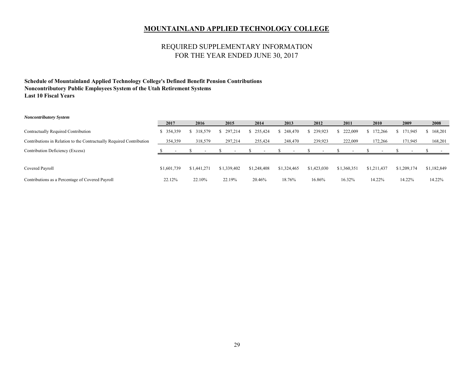### REQUIRED SUPPLEMENTARY INFORMATION FOR THE YEAR ENDED JUNE 30, 2017

#### **Schedule of Mountainland Applied Technology College's Defined Benefit Pension Contributions Noncontributory Public Employees System of the Utah Retirement Systems Last 10 Fiscal Years**

#### *Noncontributory System*

|                                                                      | 2017        | 2016        | 2015        | 2014        | 2013                     | 2012        | 2011        | 2010        | 2009        | 2008        |
|----------------------------------------------------------------------|-------------|-------------|-------------|-------------|--------------------------|-------------|-------------|-------------|-------------|-------------|
| Contractually Required Contribution                                  | \$ 354,359  | \$ 318,579  | 297.214     | 255,424     | \$248,470                | \$239,923   | 222,009     | 172,266     | 171.945     | \$168,201   |
| Contributions in Relation to the Contractually Required Contribution | 354,359     | 318,579     | 297,214     | 255,424     | 248,470                  | 239,923     | 222,009     | 172,266     | 171,945     | 168,201     |
| Contribution Deficiency (Excess)                                     |             |             |             | $\sim$      | $\overline{\phantom{a}}$ | $\sim$      |             |             |             |             |
|                                                                      |             |             |             |             |                          |             |             |             |             |             |
| Covered Payroll                                                      | \$1,601,739 | \$1,441,271 | \$1,339,402 | \$1,248,408 | \$1,324,465              | \$1,423,030 | \$1,360,351 | \$1,211,437 | \$1,209,174 | \$1,182,849 |
| Contributions as a Percentage of Covered Payroll                     | 22.12%      | 22.10%      | 22.19%      | 20.46%      | 18.76%                   | 16.86%      | 16.32%      | 14.22%      | 14.22%      | 14.22%      |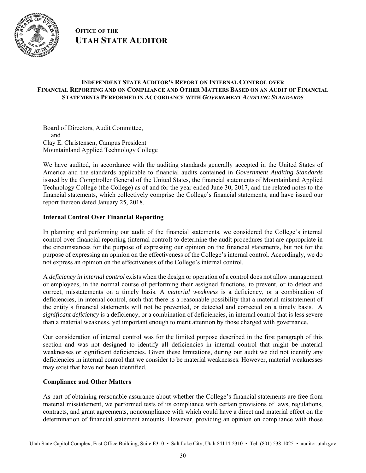

**OFFICE OF THE UTAH STATE AUDITOR**

#### **INDEPENDENT STATE AUDITOR'S REPORT ON INTERNAL CONTROL OVER FINANCIAL REPORTING AND ON COMPLIANCE AND OTHER MATTERS BASED ON AN AUDIT OF FINANCIAL STATEMENTS PERFORMED IN ACCORDANCE WITH** *GOVERNMENT AUDITING STANDARDS*

Board of Directors, Audit Committee, and Clay E. Christensen, Campus President Mountainland Applied Technology College

We have audited, in accordance with the auditing standards generally accepted in the United States of America and the standards applicable to financial audits contained in *Government Auditing Standards*  issued by the Comptroller General of the United States, the financial statements of Mountainland Applied Technology College (the College) as of and for the year ended June 30, 2017, and the related notes to the financial statements, which collectively comprise the College's financial statements, and have issued our report thereon dated January 25, 2018.

### **Internal Control Over Financial Reporting**

In planning and performing our audit of the financial statements, we considered the College's internal control over financial reporting (internal control) to determine the audit procedures that are appropriate in the circumstances for the purpose of expressing our opinion on the financial statements, but not for the purpose of expressing an opinion on the effectiveness of the College's internal control. Accordingly, we do not express an opinion on the effectiveness of the College's internal control.

A *deficiency in internal control* exists when the design or operation of a control does not allow management or employees, in the normal course of performing their assigned functions, to prevent, or to detect and correct, misstatements on a timely basis. A *material weakness* is a deficiency, or a combination of deficiencies, in internal control, such that there is a reasonable possibility that a material misstatement of the entity's financial statements will not be prevented, or detected and corrected on a timely basis. A *significant deficiency* is a deficiency, or a combination of deficiencies, in internal control that is less severe than a material weakness, yet important enough to merit attention by those charged with governance.

Our consideration of internal control was for the limited purpose described in the first paragraph of this section and was not designed to identify all deficiencies in internal control that might be material weaknesses or significant deficiencies. Given these limitations, during our audit we did not identify any deficiencies in internal control that we consider to be material weaknesses. However, material weaknesses may exist that have not been identified.

#### **Compliance and Other Matters**

As part of obtaining reasonable assurance about whether the College's financial statements are free from material misstatement, we performed tests of its compliance with certain provisions of laws, regulations, contracts, and grant agreements, noncompliance with which could have a direct and material effect on the determination of financial statement amounts. However, providing an opinion on compliance with those